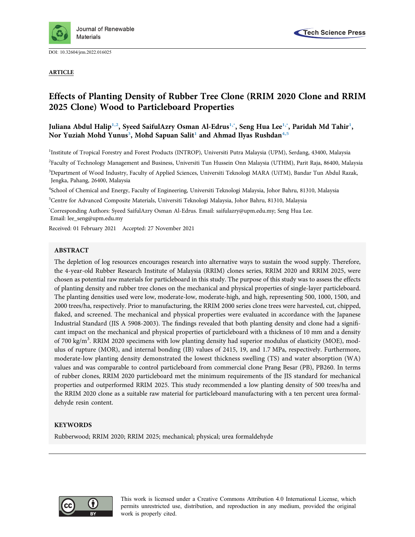

DOI: [10.32604/jrm.2022.016025](http://dx.doi.org/10.32604/jrm.2022.016025)

ARTICLE



# Effects of Planting Density of Rubber Tree Clone (RRIM 2020 Clone and RRIM 2025 Clone) Wood to Particleboard Properties

# Juliana Abdul Halip<sup>[1,](#page-0-0)2</sup>, Syeed SaifulAzry Osman Al-Edrus<sup>[1](#page-0-0),×</sup>, Seng Hua Lee<sup>1,×</sup>, Paridah Md Tahir<sup>1</sup>, Nor Yuziah Mohd Yunus<sup>[3](#page-0-3)</sup>, Mohd Sapuan Salit<sup>[1](#page-0-0)</sup> and Ahmad Ilyas Rushdan<sup>4,[5](#page-0-5)</sup>

<span id="page-0-0"></span><sup>1</sup>Institute of Tropical Forestry and Forest Products (INTROP), Universiti Putra Malaysia (UPM), Serdang, 43400, Malaysia

<span id="page-0-3"></span><span id="page-0-1"></span><sup>2</sup>Faculty of Technology Management and Business, Universiti Tun Hussein Onn Malaysia (UTHM), Parit Raja, 86400, Malaysia <sup>3</sup>Department of Wood Industry, Faculty of Applied Sciences, Universiti Teknologi MARA (UiTM), Bandar Tun Abdul Razak,

Jengka, Pahang, 26400, Malaysia

<span id="page-0-4"></span>4 School of Chemical and Energy, Faculty of Engineering, Universiti Teknologi Malaysia, Johor Bahru, 81310, Malaysia

<span id="page-0-5"></span>5 Centre for Advanced Composite Materials, Universiti Teknologi Malaysia, Johor Bahru, 81310, Malaysia

<span id="page-0-2"></span>\* Corresponding Authors: Syeed SaifulAzry Osman Al-Edrus. Email: [saifulazry@upm.edu.my;](mailto:saifulazry@upm.edu.my) Seng Hua Lee. Email: [lee\\_seng@upm.edu.my](mailto:lee_seng@upm.edu.my)

Received: 01 February 2021 Accepted: 27 November 2021

#### ABSTRACT

The depletion of log resources encourages research into alternative ways to sustain the wood supply. Therefore, the 4-year-old Rubber Research Institute of Malaysia (RRIM) clones series, RRIM 2020 and RRIM 2025, were chosen as potential raw materials for particleboard in this study. The purpose of this study was to assess the effects of planting density and rubber tree clones on the mechanical and physical properties of single-layer particleboard. The planting densities used were low, moderate-low, moderate-high, and high, representing 500, 1000, 1500, and 2000 trees/ha, respectively. Prior to manufacturing, the RRIM 2000 series clone trees were harvested, cut, chipped, flaked, and screened. The mechanical and physical properties were evaluated in accordance with the Japanese Industrial Standard (JIS A 5908-2003). The findings revealed that both planting density and clone had a significant impact on the mechanical and physical properties of particleboard with a thickness of 10 mm and a density of 700 kg/m<sup>3</sup>. RRIM 2020 specimens with low planting density had superior modulus of elasticity (MOE), modulus of rupture (MOR), and internal bonding (IB) values of 2415, 19, and 1.7 MPa, respectively. Furthermore, moderate-low planting density demonstrated the lowest thickness swelling (TS) and water absorption (WA) values and was comparable to control particleboard from commercial clone Prang Besar (PB), PB260. In terms of rubber clones, RRIM 2020 particleboard met the minimum requirements of the JIS standard for mechanical properties and outperformed RRIM 2025. This study recommended a low planting density of 500 trees/ha and the RRIM 2020 clone as a suitable raw material for particleboard manufacturing with a ten percent urea formaldehyde resin content.

# **KEYWORDS**

Rubberwood; RRIM 2020; RRIM 2025; mechanical; physical; urea formaldehyde



This work is licensed under a Creative Commons Attribution 4.0 International License, which permits unrestricted use, distribution, and reproduction in any medium, provided the original work is properly cited.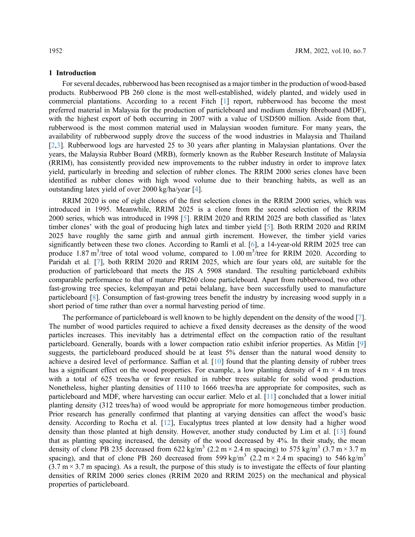#### 1 Introduction

For several decades, rubberwood has been recognised as a major timber in the production of wood-based products. Rubberwood PB 260 clone is the most well-established, widely planted, and widely used in commercial plantations. According to a recent Fitch [\[1\]](#page-8-0) report, rubberwood has become the most preferred material in Malaysia for the production of particleboard and medium density fibreboard (MDF), with the highest export of both occurring in 2007 with a value of USD500 million. Aside from that, rubberwood is the most common material used in Malaysian wooden furniture. For many years, the availability of rubberwood supply drove the success of the wood industries in Malaysia and Thailand [[2](#page-8-1),[3](#page-8-2)]. Rubberwood logs are harvested 25 to 30 years after planting in Malaysian plantations. Over the years, the Malaysia Rubber Board (MRB), formerly known as the Rubber Research Institute of Malaysia (RRIM), has consistently provided new improvements to the rubber industry in order to improve latex yield, particularly in breeding and selection of rubber clones. The RRIM 2000 series clones have been identified as rubber clones with high wood volume due to their branching habits, as well as an outstanding latex yield of over 2000 kg/ha/year [\[4\]](#page-8-3).

RRIM 2020 is one of eight clones of the first selection clones in the RRIM 2000 series, which was introduced in 1995. Meanwhile, RRIM 2025 is a clone from the second selection of the RRIM 2000 series, which was introduced in 1998 [\[5\]](#page-8-4). RRIM 2020 and RRIM 2025 are both classified as 'latex timber clones' with the goal of producing high latex and timber yield [[5](#page-8-4)]. Both RRIM 2020 and RRIM 2025 have roughly the same girth and annual girth increment. However, the timber yield varies significantly between these two clones. According to Ramli et al. [\[6\]](#page-8-5), a 14-year-old RRIM 2025 tree can produce 1.87 m<sup>3</sup>/tree of total wood volume, compared to 1.00 m<sup>3</sup>/tree for RRIM 2020. According to Paridah et al. [[7](#page-8-6)], both RRIM 2020 and RRIM 2025, which are four years old, are suitable for the production of particleboard that meets the JIS A 5908 standard. The resulting particleboard exhibits comparable performance to that of mature PB260 clone particleboard. Apart from rubberwood, two other fast-growing tree species, kelempayan and petai belalang, have been successfully used to manufacture particleboard [\[8\]](#page-8-7). Consumption of fast-growing trees benefit the industry by increasing wood supply in a short period of time rather than over a normal harvesting period of time.

The performance of particleboard is well known to be highly dependent on the density of the wood [\[7\]](#page-8-6). The number of wood particles required to achieve a fixed density decreases as the density of the wood particles increases. This inevitably has a detrimental effect on the compaction ratio of the resultant particleboard. Generally, boards with a lower compaction ratio exhibit inferior properties. As Mitlin [\[9\]](#page-8-8) suggests, the particleboard produced should be at least 5% denser than the natural wood density to achieve a desired level of performance. Saffian et al. [\[10](#page-8-9)] found that the planting density of rubber trees has a significant effect on the wood properties. For example, a low planting density of  $4 \text{ m} \times 4 \text{ m}$  trees with a total of 625 trees/ha or fewer resulted in rubber trees suitable for solid wood production. Nonetheless, higher planting densities of 1110 to 1666 trees/ha are appropriate for composites, such as particleboard and MDF, where harvesting can occur earlier. Melo et al. [\[11\]](#page-8-10) concluded that a lower initial planting density (312 trees/ha) of wood would be appropriate for more homogeneous timber production. Prior research has generally confirmed that planting at varying densities can affect the wood's basic density. According to Rocha et al. [\[12](#page-8-11)], Eucalyptus trees planted at low density had a higher wood density than those planted at high density. However, another study conducted by Lim et al. [[13\]](#page-8-12) found that as planting spacing increased, the density of the wood decreased by 4%. In their study, the mean density of clone PB 235 decreased from 622 kg/m<sup>3</sup> (2.2 m  $\times$  2.4 m spacing) to 575 kg/m<sup>3</sup> (3.7 m  $\times$  3.7 m spacing), and that of clone PB 260 decreased from 599 kg/m<sup>3</sup> (2.2 m × 2.4 m spacing) to 546 kg/m<sup>3</sup>  $(3.7 \text{ m} \times 3.7 \text{ m}$  spacing). As a result, the purpose of this study is to investigate the effects of four planting densities of RRIM 2000 series clones (RRIM 2020 and RRIM 2025) on the mechanical and physical properties of particleboard.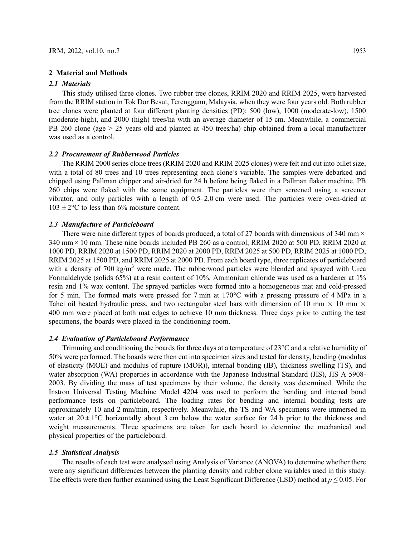# 2 Material and Methods

#### 2.1 Materials

This study utilised three clones. Two rubber tree clones, RRIM 2020 and RRIM 2025, were harvested from the RRIM station in Tok Dor Besut, Terengganu, Malaysia, when they were four years old. Both rubber tree clones were planted at four different planting densities (PD): 500 (low), 1000 (moderate-low), 1500 (moderate-high), and 2000 (high) trees/ha with an average diameter of 15 cm. Meanwhile, a commercial PB 260 clone (age > 25 years old and planted at 450 trees/ha) chip obtained from a local manufacturer was used as a control.

# 2.2 Procurement of Rubberwood Particles

The RRIM 2000 series clone trees (RRIM 2020 and RRIM 2025 clones) were felt and cut into billet size, with a total of 80 trees and 10 trees representing each clone's variable. The samples were debarked and chipped using Pallman chipper and air-dried for 24 h before being flaked in a Pallman flaker machine. PB 260 chips were flaked with the same equipment. The particles were then screened using a screener vibrator, and only particles with a length of 0.5–2.0 cm were used. The particles were oven-dried at  $103 \pm 2$ °C to less than 6% moisture content.

### 2.3 Manufacture of Particleboard

There were nine different types of boards produced, a total of 27 boards with dimensions of 340 mm  $\times$ 340 mm × 10 mm. These nine boards included PB 260 as a control, RRIM 2020 at 500 PD, RRIM 2020 at 1000 PD, RRIM 2020 at 1500 PD, RRIM 2020 at 2000 PD, RRIM 2025 at 500 PD, RRIM 2025 at 1000 PD, RRIM 2025 at 1500 PD, and RRIM 2025 at 2000 PD. From each board type, three replicates of particleboard with a density of  $700 \text{ kg/m}^3$  were made. The rubberwood particles were blended and sprayed with Urea Formaldehyde (solids 65%) at a resin content of 10%. Ammonium chloride was used as a hardener at 1% resin and 1% wax content. The sprayed particles were formed into a homogeneous mat and cold-pressed for 5 min. The formed mats were pressed for 7 min at 170°C with a pressing pressure of 4 MPa in a Tahei oil heated hydraulic press, and two rectangular steel bars with dimension of 10 mm  $\times$  10 mm  $\times$ 400 mm were placed at both mat edges to achieve 10 mm thickness. Three days prior to cutting the test specimens, the boards were placed in the conditioning room.

# 2.4 Evaluation of Particleboard Performance

Trimming and conditioning the boards for three days at a temperature of 23°C and a relative humidity of 50% were performed. The boards were then cut into specimen sizes and tested for density, bending (modulus of elasticity (MOE) and modulus of rupture (MOR)), internal bonding (IB), thickness swelling (TS), and water absorption (WA) properties in accordance with the Japanese Industrial Standard (JIS), JIS A 5908-2003. By dividing the mass of test specimens by their volume, the density was determined. While the Instron Universal Testing Machine Model 4204 was used to perform the bending and internal bond performance tests on particleboard. The loading rates for bending and internal bonding tests are approximately 10 and 2 mm/min, respectively. Meanwhile, the TS and WA specimens were immersed in water at  $20 \pm 1$ °C horizontally about 3 cm below the water surface for 24 h prior to the thickness and weight measurements. Three specimens are taken for each board to determine the mechanical and physical properties of the particleboard.

#### 2.5 Statistical Analysis

The results of each test were analysed using Analysis of Variance (ANOVA) to determine whether there were any significant differences between the planting density and rubber clone variables used in this study. The effects were then further examined using the Least Significant Difference (LSD) method at  $p \le 0.05$ . For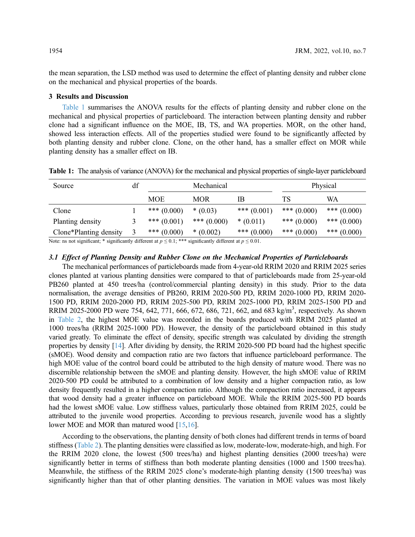the mean separation, the LSD method was used to determine the effect of planting density and rubber clone on the mechanical and physical properties of the boards.

# 3 Results and Discussion

[Table 1](#page-3-0) summarises the ANOVA results for the effects of planting density and rubber clone on the mechanical and physical properties of particleboard. The interaction between planting density and rubber clone had a significant influence on the MOE, IB, TS, and WA properties. MOR, on the other hand, showed less interaction effects. All of the properties studied were found to be significantly affected by both planting density and rubber clone. Clone, on the other hand, has a smaller effect on MOR while planting density has a smaller effect on IB.

| Source                 | df | Mechanical    |               | Physical      |               |               |
|------------------------|----|---------------|---------------|---------------|---------------|---------------|
|                        |    | MOE           | MOR           | IΒ            | TS            | WA            |
| Clone                  |    | *** $(0.000)$ | $*(0.03)$     | *** $(0.001)$ | *** $(0.000)$ | *** $(0.000)$ |
| Planting density       |    | *** $(0.001)$ | *** $(0.000)$ | $*(0.011)$    | *** $(0.000)$ | *** $(0.000)$ |
| Clone*Planting density |    | *** $(0.000)$ | $*(0.002)$    | *** $(0.000)$ | *** $(0.000)$ | *** $(0.000)$ |

<span id="page-3-0"></span>Table 1: The analysis of variance (ANOVA) for the mechanical and physical properties of single-layer particleboard

Note: ns not significant; \* significantly different at  $p \le 0.1$ ; \*\*\* significantly different at  $p \le 0.01$ .

# 3.1 Effect of Planting Density and Rubber Clone on the Mechanical Properties of Particleboards

The mechanical performances of particleboards made from 4-year-old RRIM 2020 and RRIM 2025 series clones planted at various planting densities were compared to that of particleboards made from 25-year-old PB260 planted at 450 trees/ha (control/commercial planting density) in this study. Prior to the data normalisation, the average densities of PB260, RRIM 2020-500 PD, RRIM 2020-1000 PD, RRIM 2020- 1500 PD, RRIM 2020-2000 PD, RRIM 2025-500 PD, RRIM 2025-1000 PD, RRIM 2025-1500 PD and RRIM 2025-2000 PD were 754, 642, 771, 666, 672, 686, 721, 662, and 683 kg/m<sup>3</sup>, respectively. As shown in [Table 2](#page-4-0), the highest MOE value was recorded in the boards produced with RRIM 2025 planted at 1000 trees/ha (RRIM 2025-1000 PD). However, the density of the particleboard obtained in this study varied greatly. To eliminate the effect of density, specific strength was calculated by dividing the strength properties by density [[14\]](#page-8-13). After dividing by density, the RRIM 2020-500 PD board had the highest specific (sMOE). Wood density and compaction ratio are two factors that influence particleboard performance. The high MOE value of the control board could be attributed to the high density of mature wood. There was no discernible relationship between the sMOE and planting density. However, the high sMOE value of RRIM 2020-500 PD could be attributed to a combination of low density and a higher compaction ratio, as low density frequently resulted in a higher compaction ratio. Although the compaction ratio increased, it appears that wood density had a greater influence on particleboard MOE. While the RRIM 2025-500 PD boards had the lowest sMOE value. Low stiffness values, particularly those obtained from RRIM 2025, could be attributed to the juvenile wood properties. According to previous research, juvenile wood has a slightly lower MOE and MOR than matured wood [\[15](#page-8-14)[,16](#page-8-15)].

According to the observations, the planting density of both clones had different trends in terms of board stiffness ([Table 2\)](#page-4-0). The planting densities were classified as low, moderate-low, moderate-high, and high. For the RRIM 2020 clone, the lowest (500 trees/ha) and highest planting densities (2000 trees/ha) were significantly better in terms of stiffness than both moderate planting densities (1000 and 1500 trees/ha). Meanwhile, the stiffness of the RRIM 2025 clone's moderate-high planting density (1500 trees/ha) was significantly higher than that of other planting densities. The variation in MOE values was most likely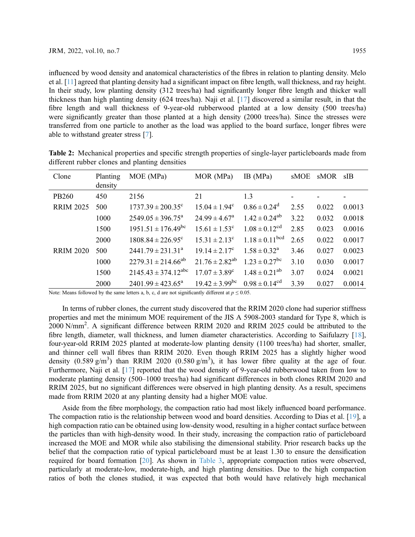influenced by wood density and anatomical characteristics of the fibres in relation to planting density. Melo et al. [[11](#page-8-10)] agreed that planting density had a significant impact on fibre length, wall thickness, and ray height. In their study, low planting density (312 trees/ha) had significantly longer fibre length and thicker wall thickness than high planting density (624 trees/ha). Naji et al. [[17\]](#page-8-16) discovered a similar result, in that the fibre length and wall thickness of 9-year-old rubberwood planted at a low density (500 trees/ha) were significantly greater than those planted at a high density (2000 trees/ha). Since the stresses were transferred from one particle to another as the load was applied to the board surface, longer fibres were able to withstand greater stress [\[7\]](#page-8-6).

| Clone            | Planting<br>density | MOE (MPa)                          | MOR (MPa)                      | IB(MPa)                       | sMOE | sMOR  | sIB    |
|------------------|---------------------|------------------------------------|--------------------------------|-------------------------------|------|-------|--------|
| PB260            | 450                 | 2156                               | 21                             | 1.3                           |      |       |        |
| <b>RRIM 2025</b> | 500                 | $1737.39 \pm 200.35$ <sup>c</sup>  | $15.04 \pm 1.94^c$             | $0.86 \pm 0.24$ <sup>d</sup>  | 2.55 | 0.022 | 0.0013 |
|                  | 1000                | $2549.05 \pm 396.75^{\circ}$       | $24.99 \pm 4.67^{\circ}$       | $1.42 \pm 0.24^{ab}$          | 3.22 | 0.032 | 0.0018 |
|                  | 1500                | $1951.51 \pm 176.49$ <sup>bc</sup> | $15.61 \pm 1.53$ <sup>c</sup>  | $1.08 \pm 0.12$ <sup>cd</sup> | 2.85 | 0.023 | 0.0016 |
|                  | 2000                | $1808.84 \pm 226.95$ <sup>c</sup>  | $15.31 \pm 2.13^c$             | $1.18 \pm 0.11^{bcd}$         | 2.65 | 0.022 | 0.0017 |
| <b>RRIM 2020</b> | 500                 | $2441.79 \pm 231.31^a$             | $19.14 \pm 2.17^c$             | $1.58 \pm 0.32^{\rm a}$       | 3.46 | 0.027 | 0.0023 |
|                  | 1000                | $2279.31 \pm 214.66^{ab}$          | $21.76 \pm 2.82^{ab}$          | $1.23 \pm 0.27$ <sup>bc</sup> | 3.10 | 0.030 | 0.0017 |
|                  | 1500                | $2145.43 \pm 374.12^{\text{abc}}$  | $17.07 \pm 3.89^{\circ}$       | $1.48 \pm 0.21^{ab}$          | 3.07 | 0.024 | 0.0021 |
|                  | 2000                | $2401.99 \pm 423.65^{\circ}$       | $19.42 \pm 3.99$ <sup>bc</sup> | $0.98 \pm 0.14^{cd}$          | 3.39 | 0.027 | 0.0014 |

<span id="page-4-0"></span>Table 2: Mechanical properties and specific strength properties of single-layer particleboards made from different rubber clones and planting densities

Note: Means followed by the same letters a, b, c, d are not significantly different at  $p \le 0.05$ .

In terms of rubber clones, the current study discovered that the RRIM 2020 clone had superior stiffness properties and met the minimum MOE requirement of the JIS A 5908-2003 standard for Type 8, which is 2000 N/mm<sup>2</sup>. A significant difference between RRIM 2020 and RRIM 2025 could be attributed to the fibre length, diameter, wall thickness, and lumen diameter characteristics. According to Saifulazry [[18\]](#page-8-17), four-year-old RRIM 2025 planted at moderate-low planting density (1100 trees/ha) had shorter, smaller, and thinner cell wall fibres than RRIM 2020. Even though RRIM 2025 has a slightly higher wood density  $(0.589 \text{ g/m}^3)$  than RRIM 2020  $(0.580 \text{ g/m}^3)$ , it has lower fibre quality at the age of four. Furthermore, Naji et al. [\[17](#page-8-16)] reported that the wood density of 9-year-old rubberwood taken from low to moderate planting density (500–1000 trees/ha) had significant differences in both clones RRIM 2020 and RRIM 2025, but no significant differences were observed in high planting density. As a result, specimens made from RRIM 2020 at any planting density had a higher MOE value.

Aside from the fibre morphology, the compaction ratio had most likely influenced board performance. The compaction ratio is the relationship between wood and board densities. According to Dias et al. [\[19](#page-8-18)], a high compaction ratio can be obtained using low-density wood, resulting in a higher contact surface between the particles than with high-density wood. In their study, increasing the compaction ratio of particleboard increased the MOE and MOR while also stabilising the dimensional stability. Prior research backs up the belief that the compaction ratio of typical particleboard must be at least 1.30 to ensure the densification required for board formation [[20\]](#page-9-0). As shown in [Table 3,](#page-5-0) appropriate compaction ratios were observed, particularly at moderate-low, moderate-high, and high planting densities. Due to the high compaction ratios of both the clones studied, it was expected that both would have relatively high mechanical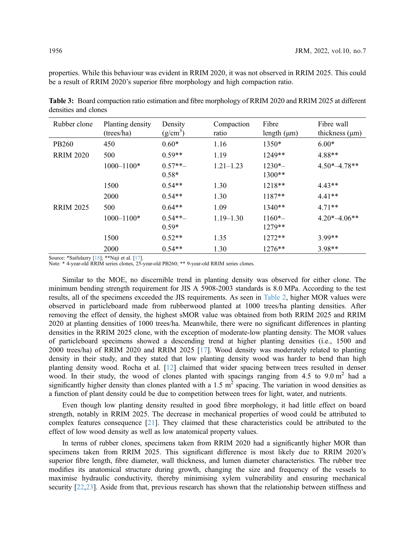properties. While this behaviour was evident in RRIM 2020, it was not observed in RRIM 2025. This could be a result of RRIM 2020's superior fibre morphology and high compaction ratio.

| Rubber clone     | Planting density<br>(trees/ha) | Density<br>$(g/cm^3)$ | Compaction<br>ratio | Fibre<br>length $(\mu m)$ | Fibre wall<br>thickness $(\mu m)$ |
|------------------|--------------------------------|-----------------------|---------------------|---------------------------|-----------------------------------|
| PB260            | 450                            | $0.60*$               | 1.16                | 1350*                     | $6.00*$                           |
| <b>RRIM 2020</b> | 500                            | $0.59**$              | 1.19                | $1249**$                  | 4.88**                            |
|                  | $1000 - 1100*$                 | $0.57**-$<br>$0.58*$  | $1.21 - 1.23$       | $1230*-$<br>$1300**$      | $4.50*-4.78**$                    |
|                  | 1500                           | $0.54**$              | 1.30                | $1218**$                  | $4.43**$                          |
|                  | 2000                           | $0.54**$              | 1.30                | $1187**$                  | $4.41**$                          |
| <b>RRIM 2025</b> | 500                            | $0.64**$              | 1.09                | $1340**$                  | $4.71**$                          |
|                  | $1000 - 1100*$                 | $0.54**-$<br>$0.59*$  | $1.19 - 1.30$       | $1160*-$<br>$1279**$      | $4.20*-4.06**$                    |
|                  | 1500                           | $0.52**$              | 1.35                | $1272**$                  | $3.99**$                          |
|                  | 2000                           | $0.54**$              | 1.30                | $1276**$                  | $3.98**$                          |

<span id="page-5-0"></span>Table 3: Board compaction ratio estimation and fibre morphology of RRIM 2020 and RRIM 2025 at different densities and clones

Source: \*Saifulazry [[18](#page-8-17)]; \*\*Naji et al. [\[17\]](#page-8-16).

Note: \* 4-year-old RRIM series clones, 25-year-old PB260; \*\* 9-year-old RRIM series clones.

Similar to the MOE, no discernible trend in planting density was observed for either clone. The minimum bending strength requirement for JIS A 5908-2003 standards is 8.0 MPa. According to the test results, all of the specimens exceeded the JIS requirements. As seen in [Table 2](#page-4-0), higher MOR values were observed in particleboard made from rubberwood planted at 1000 trees/ha planting densities. After removing the effect of density, the highest sMOR value was obtained from both RRIM 2025 and RRIM 2020 at planting densities of 1000 trees/ha. Meanwhile, there were no significant differences in planting densities in the RRIM 2025 clone, with the exception of moderate-low planting density. The MOR values of particleboard specimens showed a descending trend at higher planting densities (i.e., 1500 and 2000 trees/ha) of RRIM 2020 and RRIM 2025 [[17\]](#page-8-16). Wood density was moderately related to planting density in their study, and they stated that low planting density wood was harder to bend than high planting density wood. Rocha et al. [\[12](#page-8-11)] claimed that wider spacing between trees resulted in denser wood. In their study, the wood of clones planted with spacings ranging from 4.5 to 9.0 m<sup>2</sup> had a significantly higher density than clones planted with a 1.5  $m^2$  spacing. The variation in wood densities as a function of plant density could be due to competition between trees for light, water, and nutrients.

Even though low planting density resulted in good fibre morphology, it had little effect on board strength, notably in RRIM 2025. The decrease in mechanical properties of wood could be attributed to complex features consequence  $[21]$  $[21]$ . They claimed that these characteristics could be attributed to the effect of low wood density as well as low anatomical property values.

In terms of rubber clones, specimens taken from RRIM 2020 had a significantly higher MOR than specimens taken from RRIM 2025. This significant difference is most likely due to RRIM 2020's superior fibre length, fibre diameter, wall thickness, and lumen diameter characteristics. The rubber tree modifies its anatomical structure during growth, changing the size and frequency of the vessels to maximise hydraulic conductivity, thereby minimising xylem vulnerability and ensuring mechanical security [\[22](#page-9-2),[23\]](#page-9-3). Aside from that, previous research has shown that the relationship between stiffness and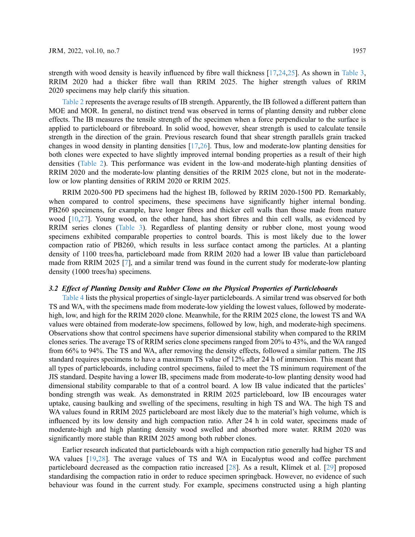strength with wood density is heavily influenced by fibre wall thickness [\[17](#page-8-16),[24,](#page-9-4)[25\]](#page-9-5). As shown in [Table 3](#page-5-0), RRIM 2020 had a thicker fibre wall than RRIM 2025. The higher strength values of RRIM 2020 specimens may help clarify this situation.

[Table 2](#page-4-0) represents the average results of IB strength. Apparently, the IB followed a different pattern than MOE and MOR. In general, no distinct trend was observed in terms of planting density and rubber clone effects. The IB measures the tensile strength of the specimen when a force perpendicular to the surface is applied to particleboard or fibreboard. In solid wood, however, shear strength is used to calculate tensile strength in the direction of the grain. Previous research found that shear strength parallels grain tracked changes in wood density in planting densities [[17](#page-8-16)[,26](#page-9-6)]. Thus, low and moderate-low planting densities for both clones were expected to have slightly improved internal bonding properties as a result of their high densities [\(Table 2\)](#page-4-0). This performance was evident in the low-and moderate-high planting densities of RRIM 2020 and the moderate-low planting densities of the RRIM 2025 clone, but not in the moderatelow or low planting densities of RRIM 2020 or RRIM 2025.

RRIM 2020-500 PD specimens had the highest IB, followed by RRIM 2020-1500 PD. Remarkably, when compared to control specimens, these specimens have significantly higher internal bonding. PB260 specimens, for example, have longer fibres and thicker cell walls than those made from mature wood [[10,](#page-8-9)[27](#page-9-7)]. Young wood, on the other hand, has short fibres and thin cell walls, as evidenced by RRIM series clones ([Table 3](#page-5-0)). Regardless of planting density or rubber clone, most young wood specimens exhibited comparable properties to control boards. This is most likely due to the lower compaction ratio of PB260, which results in less surface contact among the particles. At a planting density of 1100 trees/ha, particleboard made from RRIM 2020 had a lower IB value than particleboard made from RRIM 2025 [[7](#page-8-6)], and a similar trend was found in the current study for moderate-low planting density (1000 trees/ha) specimens.

# 3.2 Effect of Planting Density and Rubber Clone on the Physical Properties of Particleboards

[Table 4](#page-7-0) lists the physical properties of single-layer particleboards. A similar trend was observed for both TS and WA, with the specimens made from moderate-low yielding the lowest values, followed by moderatehigh, low, and high for the RRIM 2020 clone. Meanwhile, for the RRIM 2025 clone, the lowest TS and WA values were obtained from moderate-low specimens, followed by low, high, and moderate-high specimens. Observations show that control specimens have superior dimensional stability when compared to the RRIM clones series. The average TS of RRIM series clone specimens ranged from 20% to 43%, and the WA ranged from 66% to 94%. The TS and WA, after removing the density effects, followed a similar pattern. The JIS standard requires specimens to have a maximum TS value of 12% after 24 h of immersion. This meant that all types of particleboards, including control specimens, failed to meet the TS minimum requirement of the JIS standard. Despite having a lower IB, specimens made from moderate-to-low planting density wood had dimensional stability comparable to that of a control board. A low IB value indicated that the particles' bonding strength was weak. As demonstrated in RRIM 2025 particleboard, low IB encourages water uptake, causing baulking and swelling of the specimens, resulting in high TS and WA. The high TS and WA values found in RRIM 2025 particleboard are most likely due to the material's high volume, which is influenced by its low density and high compaction ratio. After 24 h in cold water, specimens made of moderate-high and high planting density wood swelled and absorbed more water. RRIM 2020 was significantly more stable than RRIM 2025 among both rubber clones.

Earlier research indicated that particleboards with a high compaction ratio generally had higher TS and WA values [\[19](#page-8-18),[28\]](#page-9-8). The average values of TS and WA in Eucalyptus wood and coffee parchment particleboard decreased as the compaction ratio increased [[28](#page-9-8)]. As a result, Klímek et al. [[29\]](#page-9-9) proposed standardising the compaction ratio in order to reduce specimen springback. However, no evidence of such behaviour was found in the current study. For example, specimens constructed using a high planting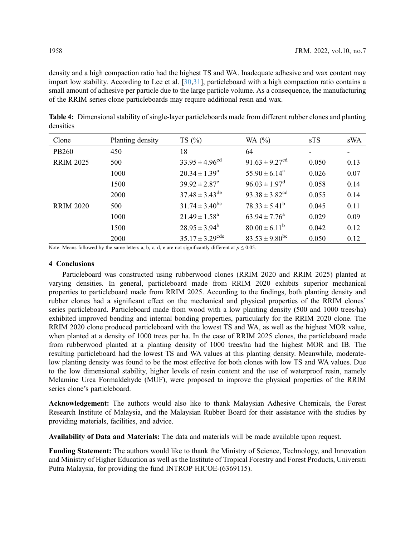density and a high compaction ratio had the highest TS and WA. Inadequate adhesive and wax content may impart low stability. According to Lee et al. [[30,](#page-9-10)[31](#page-9-11)], particleboard with a high compaction ratio contains a small amount of adhesive per particle due to the large particle volume. As a consequence, the manufacturing of the RRIM series clone particleboards may require additional resin and wax.

| Clone            | Planting density | TS(%)                         | WA $(%)$                       | sTS   | sWA  |
|------------------|------------------|-------------------------------|--------------------------------|-------|------|
| PB260            | 450              | 18                            | 64                             |       |      |
| <b>RRIM 2025</b> | 500              | $33.95 \pm 4.96^{cd}$         | $91.63 \pm 9.27$ <sup>cd</sup> | 0.050 | 0.13 |
|                  | 1000             | $20.34 \pm 1.39^a$            | $55.90 \pm 6.14^a$             | 0.026 | 0.07 |
|                  | 1500             | $39.92 \pm 2.87^e$            | $96.03 \pm 1.97^{\rm d}$       | 0.058 | 0.14 |
|                  | 2000             | $37.48 \pm 3.43^{\text{de}}$  | $93.38 \pm 3.82$ <sup>cd</sup> | 0.055 | 0.14 |
| <b>RRIM 2020</b> | 500              | $31.74 \pm 3.40^{\rm bc}$     | $78.33 \pm 5.41^b$             | 0.045 | 0.11 |
|                  | 1000             | $21.49 \pm 1.58^a$            | $63.94 \pm 7.76^{\circ}$       | 0.029 | 0.09 |
|                  | 1500             | $28.95 \pm 3.94^b$            | $80.00 \pm 6.11^b$             | 0.042 | 0.12 |
|                  | 2000             | $35.17 \pm 3.29^{\text{cde}}$ | $83.53 \pm 9.80^{\rm bc}$      | 0.050 | 0.12 |

<span id="page-7-0"></span>Table 4: Dimensional stability of single-layer particleboards made from different rubber clones and planting densities

Note: Means followed by the same letters a, b, c, d, e are not significantly different at  $p \le 0.05$ .

## 4 Conclusions

Particleboard was constructed using rubberwood clones (RRIM 2020 and RRIM 2025) planted at varying densities. In general, particleboard made from RRIM 2020 exhibits superior mechanical properties to particleboard made from RRIM 2025. According to the findings, both planting density and rubber clones had a significant effect on the mechanical and physical properties of the RRIM clones' series particleboard. Particleboard made from wood with a low planting density (500 and 1000 trees/ha) exhibited improved bending and internal bonding properties, particularly for the RRIM 2020 clone. The RRIM 2020 clone produced particleboard with the lowest TS and WA, as well as the highest MOR value, when planted at a density of 1000 trees per ha. In the case of RRIM 2025 clones, the particleboard made from rubberwood planted at a planting density of 1000 trees/ha had the highest MOR and IB. The resulting particleboard had the lowest TS and WA values at this planting density. Meanwhile, moderatelow planting density was found to be the most effective for both clones with low TS and WA values. Due to the low dimensional stability, higher levels of resin content and the use of waterproof resin, namely Melamine Urea Formaldehyde (MUF), were proposed to improve the physical properties of the RRIM series clone's particleboard.

Acknowledgement: The authors would also like to thank Malaysian Adhesive Chemicals, the Forest Research Institute of Malaysia, and the Malaysian Rubber Board for their assistance with the studies by providing materials, facilities, and advice.

Availability of Data and Materials: The data and materials will be made available upon request.

Funding Statement: The authors would like to thank the Ministry of Science, Technology, and Innovation and Ministry of Higher Education as well as the Institute of Tropical Forestry and Forest Products, Universiti Putra Malaysia, for providing the fund INTROP HICOE-(6369115).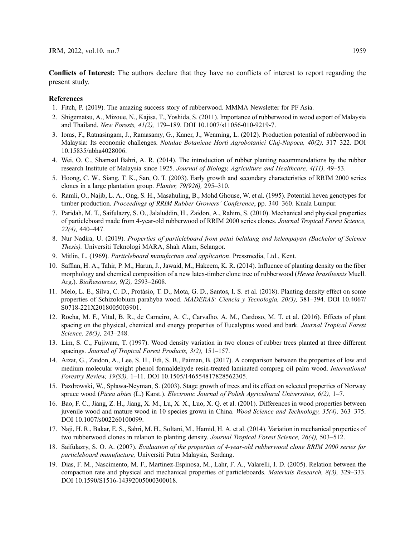Conflicts of Interest: The authors declare that they have no conflicts of interest to report regarding the present study.

# References

- <span id="page-8-0"></span>1. Fitch, P. (2019). The amazing success story of rubberwood. MMMA Newsletter for PF Asia.
- <span id="page-8-1"></span>2. Shigematsu, A., Mizoue, N., Kajisa, T., Yoshida, S. (2011). Importance of rubberwood in wood export of Malaysia and Thailand. New Forests, 41(2), 179–189. DOI [10.1007/s11056-010-9219-7.](http://dx.doi.org/10.1007/s11056-010-9219-7)
- <span id="page-8-2"></span>3. Ioras, F., Ratnasingam, J., Ramasamy, G., Kaner, J., Wenming, L. (2012). Production potential of rubberwood in Malaysia: Its economic challenges. Notulae Botanicae Horti Agrobotanici Cluj-Napoca, 40(2), 317–322. DOI [10.15835/nbha4028006.](http://dx.doi.org/ 10.15835/nbha4028006)
- <span id="page-8-3"></span>4. Wei, O. C., Shamsul Bahri, A. R. (2014). The introduction of rubber planting recommendations by the rubber research Institute of Malaysia since 1925. Journal of Biology, Agriculture and Healthcare, 4(11), 49–53.
- <span id="page-8-4"></span>5. Hoong, C. W., Siang, T. K., San, O. T. (2003). Early growth and secondary characteristics of RRIM 2000 series clones in a large plantation group. Planter, 79(926), 295–310.
- <span id="page-8-5"></span>6. Ramli, O., Najib, L. A., Ong, S. H., Masahuling, B., Mohd Ghouse, W. et al. (1995). Potential hevea genotypes for timber production. Proceedings of RRIM Rubber Growers' Conference, pp. 340-360. Kuala Lumpur.
- <span id="page-8-6"></span>7. Paridah, M. T., Saifulazry, S. O., Jalaluddin, H., Zaidon, A., Rahim, S. (2010). Mechanical and physical properties of particleboard made from 4-year-old rubberwood of RRIM 2000 series clones. Journal Tropical Forest Science, 22(4), 440–447.
- <span id="page-8-7"></span>8. Nur Nadira, U. (2019). Properties of particleboard from petai belalang and kelempayan (Bachelor of Science Thesis). Universiti Teknologi MARA, Shah Alam, Selangor.
- <span id="page-8-8"></span>9. Mitlin, L. (1969). Particleboard manufacture and application. Pressmedia, Ltd., Kent.
- <span id="page-8-9"></span>10. Saffian, H. A., Tahir, P. M., Harun, J., Jawaid, M., Hakeem, K. R. (2014). Influence of planting density on the fiber morphology and chemical composition of a new latex-timber clone tree of rubberwood (*Hevea brasiliensis* Muell. Arg.). BioResources, 9(2), 2593–2608.
- <span id="page-8-10"></span>11. Melo, L. E., Silva, C. D., Protásio, T. D., Mota, G. D., Santos, I. S. et al. (2018). Planting density effect on some properties of Schizolobium parahyba wood. MADERAS: Ciencia y Tecnología, 20(3), 381–394. DOI [10.4067/](http://dx.doi.org/10.4067/S0718-221X2018005003901) [S0718-221X2018005003901.](http://dx.doi.org/10.4067/S0718-221X2018005003901)
- <span id="page-8-11"></span>12. Rocha, M. F., Vital, B. R., de Carneiro, A. C., Carvalho, A. M., Cardoso, M. T. et al. (2016). Effects of plant spacing on the physical, chemical and energy properties of Eucalyptus wood and bark. Journal Tropical Forest Science, 28(3), 243–248.
- <span id="page-8-12"></span>13. Lim, S. C., Fujiwara, T. (1997). Wood density variation in two clones of rubber trees planted at three different spacings. Journal of Tropical Forest Products, 3(2), 151–157.
- <span id="page-8-13"></span>14. Aizat, G., Zaidon, A., Lee, S. H., Edi, S. B., Paiman, B. (2017). A comparison between the properties of low and medium molecular weight phenol formaldehyde resin-treated laminated compreg oil palm wood. International Forestry Review, 19(S3), 1–11. DOI [10.1505/146554817828562305.](http://dx.doi.org/10.1505/146554817828562305)
- <span id="page-8-14"></span>15. Pazdrowski, W., Spława-Neyman, S. (2003). Stage growth of trees and its effect on selected properties of Norway spruce wood (Picea abies (L.) Karst.). Electronic Journal of Polish Agricultural Universities, 6(2), 1-7.
- <span id="page-8-15"></span>16. Bao, F. C., Jiang, Z. H., Jiang, X. M., Lu, X. X., Luo, X. Q. et al. (2001). Differences in wood properties between juvenile wood and mature wood in 10 species grown in China. Wood Science and Technology, 35(4), 363–375. DOI [10.1007/s002260100099.](http://dx.doi.org/10.1007/s002260100099)
- <span id="page-8-16"></span>17. Naji, H. R., Bakar, E. S., Sahri, M. H., Soltani, M., Hamid, H. A. et al. (2014). Variation in mechanical properties of two rubberwood clones in relation to planting density. Journal Tropical Forest Science, 26(4), 503-512.
- <span id="page-8-17"></span>18. Saifulazry, S. O. A. (2007). Evaluation of the properties of 4-year-old rubberwood clone RRIM 2000 series for particleboard manufacture, Universiti Putra Malaysia, Serdang.
- <span id="page-8-18"></span>19. Dias, F. M., Nascimento, M. F., Martinez-Espinosa, M., Lahr, F. A., Valarelli, I. D. (2005). Relation between the compaction rate and physical and mechanical properties of particleboards. Materials Research, 8(3), 329–333. DOI [10.1590/S1516-14392005000300018.](http://dx.doi.org/10.1590/S1516-14392005000300018)